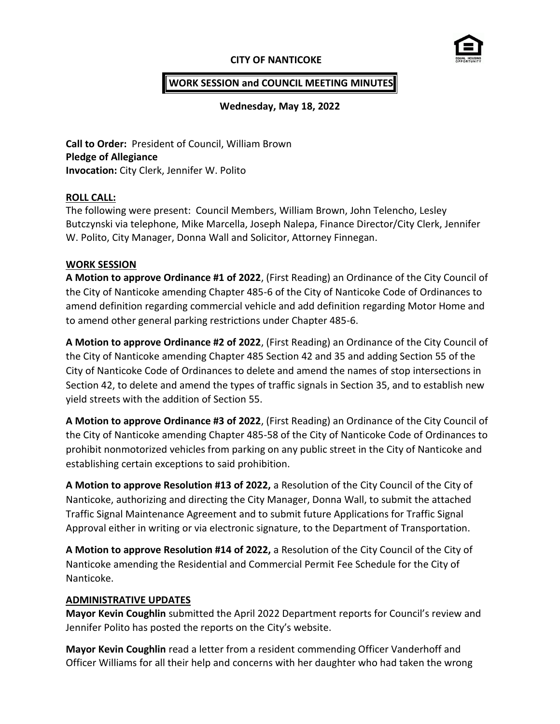## **CITY OF NANTICOKE**



### **WORK SESSION and COUNCIL MEETING MINUTES**

#### **Wednesday, May 18, 2022**

**Call to Order:** President of Council, William Brown **Pledge of Allegiance Invocation:** City Clerk, Jennifer W. Polito

#### **ROLL CALL:**

The following were present: Council Members, William Brown, John Telencho, Lesley Butczynski via telephone, Mike Marcella, Joseph Nalepa, Finance Director/City Clerk, Jennifer W. Polito, City Manager, Donna Wall and Solicitor, Attorney Finnegan.

#### **WORK SESSION**

**A Motion to approve Ordinance #1 of 2022**, (First Reading) an Ordinance of the City Council of the City of Nanticoke amending Chapter 485-6 of the City of Nanticoke Code of Ordinances to amend definition regarding commercial vehicle and add definition regarding Motor Home and to amend other general parking restrictions under Chapter 485-6.

**A Motion to approve Ordinance #2 of 2022**, (First Reading) an Ordinance of the City Council of the City of Nanticoke amending Chapter 485 Section 42 and 35 and adding Section 55 of the City of Nanticoke Code of Ordinances to delete and amend the names of stop intersections in Section 42, to delete and amend the types of traffic signals in Section 35, and to establish new yield streets with the addition of Section 55.

**A Motion to approve Ordinance #3 of 2022**, (First Reading) an Ordinance of the City Council of the City of Nanticoke amending Chapter 485-58 of the City of Nanticoke Code of Ordinances to prohibit nonmotorized vehicles from parking on any public street in the City of Nanticoke and establishing certain exceptions to said prohibition.

**A Motion to approve Resolution #13 of 2022,** a Resolution of the City Council of the City of Nanticoke, authorizing and directing the City Manager, Donna Wall, to submit the attached Traffic Signal Maintenance Agreement and to submit future Applications for Traffic Signal Approval either in writing or via electronic signature, to the Department of Transportation.

**A Motion to approve Resolution #14 of 2022,** a Resolution of the City Council of the City of Nanticoke amending the Residential and Commercial Permit Fee Schedule for the City of Nanticoke.

### **ADMINISTRATIVE UPDATES**

**Mayor Kevin Coughlin** submitted the April 2022 Department reports for Council's review and Jennifer Polito has posted the reports on the City's website.

**Mayor Kevin Coughlin** read a letter from a resident commending Officer Vanderhoff and Officer Williams for all their help and concerns with her daughter who had taken the wrong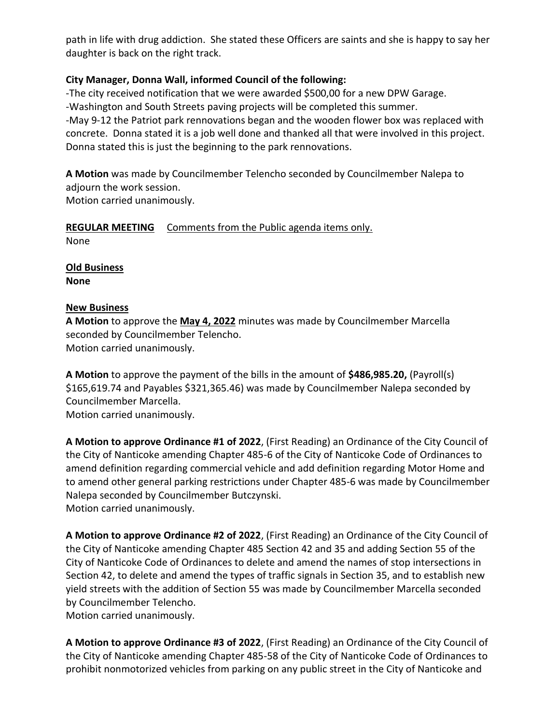path in life with drug addiction. She stated these Officers are saints and she is happy to say her daughter is back on the right track.

### **City Manager, Donna Wall, informed Council of the following:**

-The city received notification that we were awarded \$500,00 for a new DPW Garage. -Washington and South Streets paving projects will be completed this summer. -May 9-12 the Patriot park rennovations began and the wooden flower box was replaced with concrete. Donna stated it is a job well done and thanked all that were involved in this project. Donna stated this is just the beginning to the park rennovations.

**A Motion** was made by Councilmember Telencho seconded by Councilmember Nalepa to adjourn the work session.

Motion carried unanimously.

**REGULAR MEETING** Comments from the Public agenda items only. None

**Old Business None**

### **New Business**

**A Motion** to approve the **May 4, 2022** minutes was made by Councilmember Marcella seconded by Councilmember Telencho. Motion carried unanimously.

**A Motion** to approve the payment of the bills in the amount of **\$486,985.20,** (Payroll(s) \$165,619.74 and Payables \$321,365.46) was made by Councilmember Nalepa seconded by Councilmember Marcella.

Motion carried unanimously.

**A Motion to approve Ordinance #1 of 2022**, (First Reading) an Ordinance of the City Council of the City of Nanticoke amending Chapter 485-6 of the City of Nanticoke Code of Ordinances to amend definition regarding commercial vehicle and add definition regarding Motor Home and to amend other general parking restrictions under Chapter 485-6 was made by Councilmember Nalepa seconded by Councilmember Butczynski. Motion carried unanimously.

**A Motion to approve Ordinance #2 of 2022**, (First Reading) an Ordinance of the City Council of the City of Nanticoke amending Chapter 485 Section 42 and 35 and adding Section 55 of the City of Nanticoke Code of Ordinances to delete and amend the names of stop intersections in Section 42, to delete and amend the types of traffic signals in Section 35, and to establish new yield streets with the addition of Section 55 was made by Councilmember Marcella seconded by Councilmember Telencho.

Motion carried unanimously.

**A Motion to approve Ordinance #3 of 2022**, (First Reading) an Ordinance of the City Council of the City of Nanticoke amending Chapter 485-58 of the City of Nanticoke Code of Ordinances to prohibit nonmotorized vehicles from parking on any public street in the City of Nanticoke and